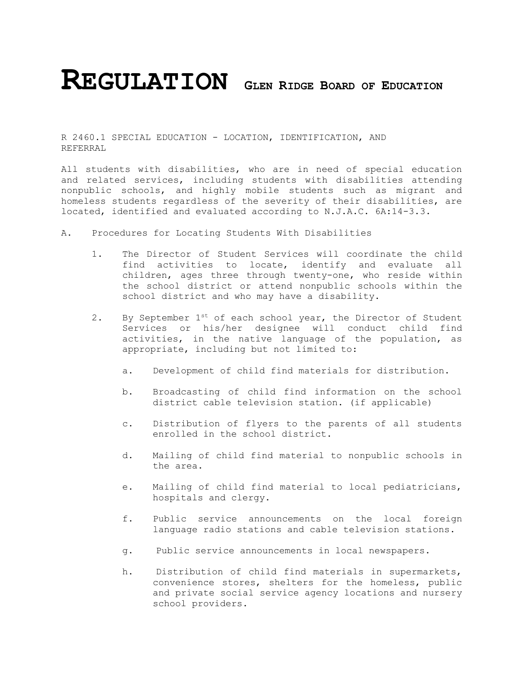## **REGULATION <sup>G</sup>LEN RIDGE BOARD OF EDUCATION**

R 2460.1 SPECIAL EDUCATION - LOCATION, IDENTIFICATION, AND REFERRAL

All students with disabilities, who are in need of special education and related services, including students with disabilities attending nonpublic schools, and highly mobile students such as migrant and homeless students regardless of the severity of their disabilities, are located, identified and evaluated according to N.J.A.C. 6A:14-3.3.

- A. Procedures for Locating Students With Disabilities
	- 1. The Director of Student Services will coordinate the child find activities to locate, identify and evaluate all children, ages three through twenty-one, who reside within the school district or attend nonpublic schools within the school district and who may have a disability.
	- 2. By September 1<sup>st</sup> of each school year, the Director of Student Services or his/her designee will conduct child find activities, in the native language of the population, as appropriate, including but not limited to:
		- a. Development of child find materials for distribution.
		- b. Broadcasting of child find information on the school district cable television station. (if applicable)
		- c. Distribution of flyers to the parents of all students enrolled in the school district.
		- d. Mailing of child find material to nonpublic schools in the area.
		- e. Mailing of child find material to local pediatricians, hospitals and clergy.
		- f. Public service announcements on the local foreign language radio stations and cable television stations.
		- g. Public service announcements in local newspapers.
		- h. Distribution of child find materials in supermarkets, convenience stores, shelters for the homeless, public and private social service agency locations and nursery school providers.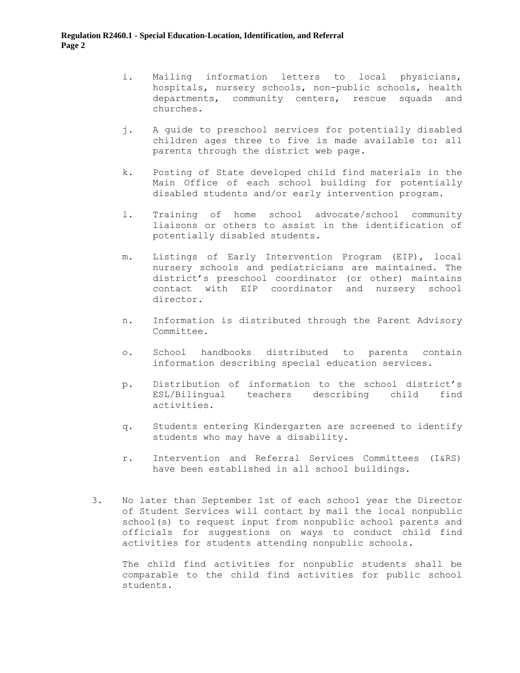- i. Mailing information letters to local physicians, hospitals, nursery schools, non-public schools, health departments, community centers, rescue squads and churches.
- j. A guide to preschool services for potentially disabled children ages three to five is made available to: all parents through the district web page.
- k. Posting of State developed child find materials in the Main Office of each school building for potentially disabled students and/or early intervention program.
- l. Training of home school advocate/school community liaisons or others to assist in the identification of potentially disabled students.
- m. Listings of Early Intervention Program (EIP), local nursery schools and pediatricians are maintained. The district's preschool coordinator (or other) maintains contact with EIP coordinator and nursery school director.
- n. Information is distributed through the Parent Advisory Committee.
- o. School handbooks distributed to parents contain information describing special education services.
- p. Distribution of information to the school district's ESL/Bilingual teachers describing child find activities.
- q. Students entering Kindergarten are screened to identify students who may have a disability.
- r. Intervention and Referral Services Committees (I&RS) have been established in all school buildings.
- 3. No later than September 1st of each school year the Director of Student Services will contact by mail the local nonpublic school(s) to request input from nonpublic school parents and officials for suggestions on ways to conduct child find activities for students attending nonpublic schools.

The child find activities for nonpublic students shall be comparable to the child find activities for public school students.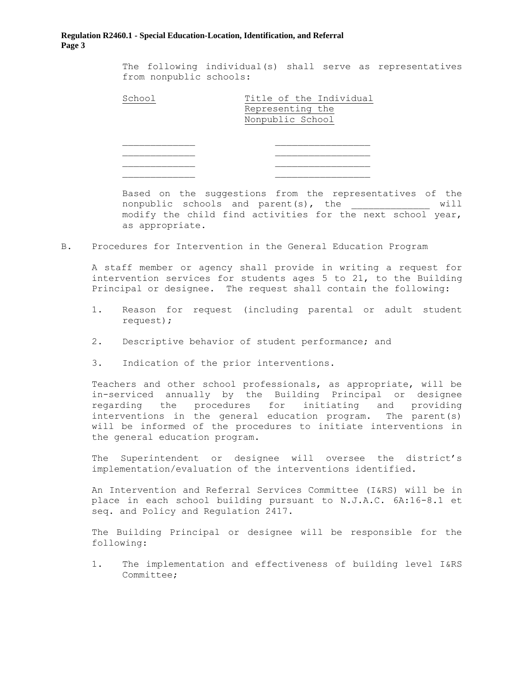## **Regulation R2460.1 - Special Education-Location, Identification, and Referral Page 3**

The following individual(s) shall serve as representatives from nonpublic schools:

Title of the Individual Representing the Nonpublic School

Based on the suggestions from the representatives of the nonpublic schools and parent(s), the \_\_\_\_\_\_\_\_\_\_\_\_\_\_ will modify the child find activities for the next school year, as appropriate.

B. Procedures for Intervention in the General Education Program

A staff member or agency shall provide in writing a request for intervention services for students ages 5 to 21, to the Building Principal or designee. The request shall contain the following:

- 1. Reason for request (including parental or adult student request);
- 2. Descriptive behavior of student performance; and
- 3. Indication of the prior interventions.

Teachers and other school professionals, as appropriate, will be in-serviced annually by the Building Principal or designee regarding the procedures for initiating and providing interventions in the general education program. The parent(s) will be informed of the procedures to initiate interventions in the general education program.

The Superintendent or designee will oversee the district's implementation/evaluation of the interventions identified.

An Intervention and Referral Services Committee (I&RS) will be in place in each school building pursuant to N.J.A.C. 6A:16-8.1 et seq. and Policy and Regulation 2417.

The Building Principal or designee will be responsible for the following:

1. The implementation and effectiveness of building level I&RS Committee;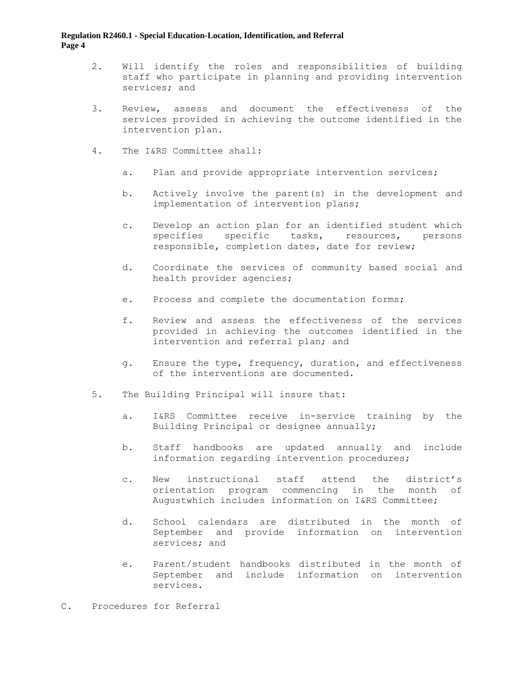## **Regulation R2460.1 - Special Education-Location, Identification, and Referral Page 4**

- 2. Will identify the roles and responsibilities of building staff who participate in planning and providing intervention services; and
- 3. Review, assess and document the effectiveness of the services provided in achieving the outcome identified in the intervention plan.
- 4. The I&RS Committee shall:
	- a. Plan and provide appropriate intervention services;
	- b. Actively involve the parent(s) in the development and implementation of intervention plans;
	- c. Develop an action plan for an identified student which specifies specific tasks, resources, persons responsible, completion dates, date for review;
	- d. Coordinate the services of community based social and health provider agencies;
	- e. Process and complete the documentation forms;
	- f. Review and assess the effectiveness of the services provided in achieving the outcomes identified in the intervention and referral plan; and
	- g. Ensure the type, frequency, duration, and effectiveness of the interventions are documented.
- 5. The Building Principal will insure that:
	- a. I&RS Committee receive in-service training by the Building Principal or designee annually;
	- b. Staff handbooks are updated annually and include information regarding intervention procedures;
	- c. New instructional staff attend the district's orientation program commencing in the month of Augustwhich includes information on I&RS Committee;
	- d. School calendars are distributed in the month of September and provide information on intervention services; and
	- e. Parent/student handbooks distributed in the month of September and include information on intervention services.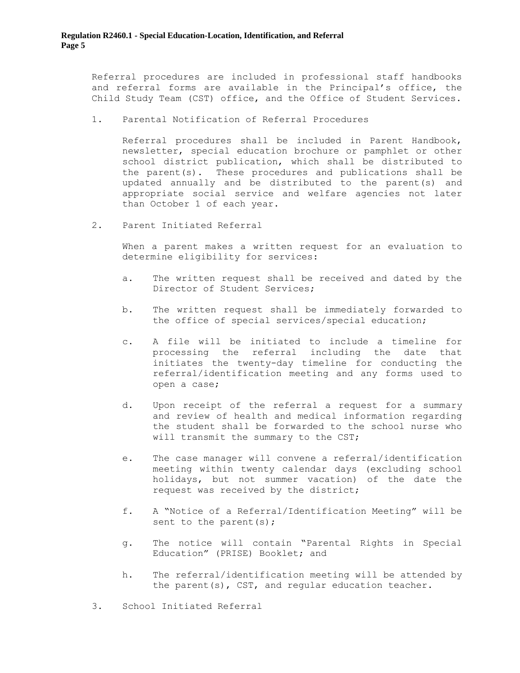Referral procedures are included in professional staff handbooks and referral forms are available in the Principal's office, the Child Study Team (CST) office, and the Office of Student Services.

1. Parental Notification of Referral Procedures

Referral procedures shall be included in Parent Handbook, newsletter, special education brochure or pamphlet or other school district publication, which shall be distributed to the parent(s). These procedures and publications shall be updated annually and be distributed to the parent(s) and appropriate social service and welfare agencies not later than October 1 of each year.

2. Parent Initiated Referral

When a parent makes a written request for an evaluation to determine eligibility for services:

- a. The written request shall be received and dated by the Director of Student Services;
- b. The written request shall be immediately forwarded to the office of special services/special education;
- c. A file will be initiated to include a timeline for processing the referral including the date that initiates the twenty-day timeline for conducting the referral/identification meeting and any forms used to open a case;
- d. Upon receipt of the referral a request for a summary and review of health and medical information regarding the student shall be forwarded to the school nurse who will transmit the summary to the CST;
- e. The case manager will convene a referral/identification meeting within twenty calendar days (excluding school holidays, but not summer vacation) of the date the request was received by the district;
- f. A "Notice of a Referral/Identification Meeting" will be sent to the parent(s);
- g. The notice will contain "Parental Rights in Special Education" (PRISE) Booklet; and
- h. The referral/identification meeting will be attended by the parent(s), CST, and regular education teacher.
- 3. School Initiated Referral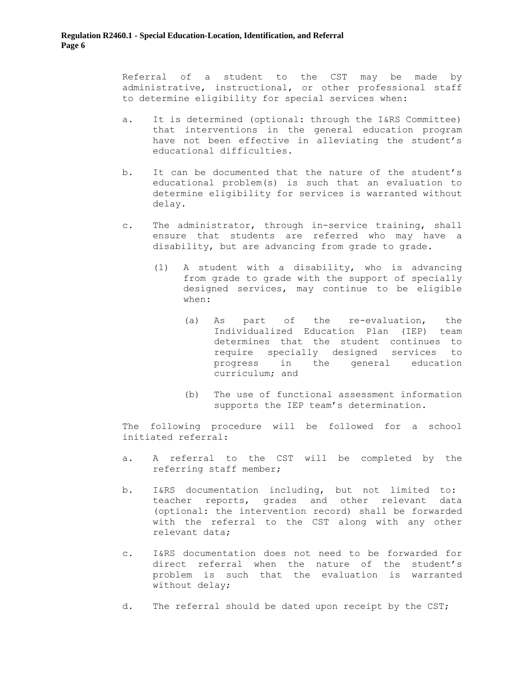Referral of a student to the CST may be made by administrative, instructional, or other professional staff to determine eligibility for special services when:

- a. It is determined (optional: through the I&RS Committee) that interventions in the general education program have not been effective in alleviating the student's educational difficulties.
- b. It can be documented that the nature of the student's educational problem(s) is such that an evaluation to determine eligibility for services is warranted without delay.
- c. The administrator, through in-service training, shall ensure that students are referred who may have a disability, but are advancing from grade to grade.
	- (1) A student with a disability, who is advancing from grade to grade with the support of specially designed services, may continue to be eligible when:
		- (a) As part of the re-evaluation, the Individualized Education Plan (IEP) team determines that the student continues to require specially designed services to progress in the general education curriculum; and
		- (b) The use of functional assessment information supports the IEP team's determination.

The following procedure will be followed for a school initiated referral:

- a. A referral to the CST will be completed by the referring staff member;
- b. I&RS documentation including, but not limited to: teacher reports, grades and other relevant data (optional: the intervention record) shall be forwarded with the referral to the CST along with any other relevant data;
- c. I&RS documentation does not need to be forwarded for direct referral when the nature of the student's problem is such that the evaluation is warranted without delay;
- d. The referral should be dated upon receipt by the CST;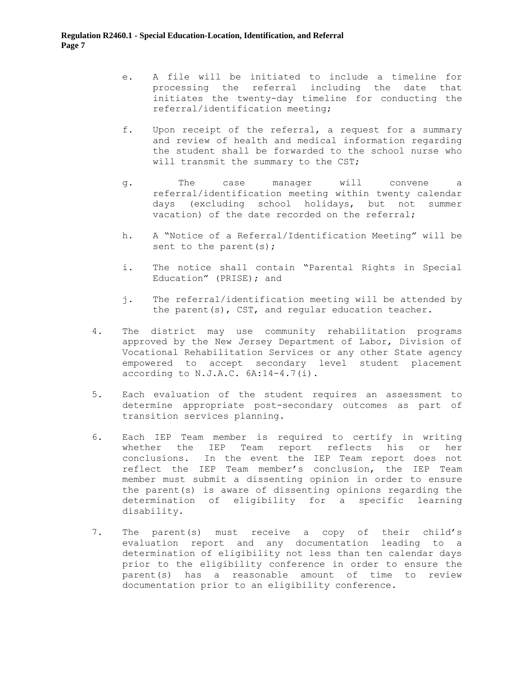- e. A file will be initiated to include a timeline for processing the referral including the date that initiates the twenty-day timeline for conducting the referral/identification meeting;
- f. Upon receipt of the referral, a request for a summary and review of health and medical information regarding the student shall be forwarded to the school nurse who will transmit the summary to the CST;
- g. The case manager will convene a referral/identification meeting within twenty calendar days (excluding school holidays, but not summer vacation) of the date recorded on the referral;
- h. A "Notice of a Referral/Identification Meeting" will be sent to the parent(s);
- i. The notice shall contain "Parental Rights in Special Education" (PRISE); and
- j. The referral/identification meeting will be attended by the parent(s), CST, and regular education teacher.
- 4. The district may use community rehabilitation programs approved by the New Jersey Department of Labor, Division of Vocational Rehabilitation Services or any other State agency empowered to accept secondary level student placement according to  $N.J.A.C. 6A:14-4.7(i)$ .
- 5. Each evaluation of the student requires an assessment to determine appropriate post-secondary outcomes as part of transition services planning.
- 6. Each IEP Team member is required to certify in writing whether the IEP Team report reflects his or her conclusions. In the event the IEP Team report does not reflect the IEP Team member's conclusion, the IEP Team member must submit a dissenting opinion in order to ensure the parent(s) is aware of dissenting opinions regarding the determination of eligibility for a specific learning disability.
- 7. The parent(s) must receive a copy of their child's evaluation report and any documentation leading to a determination of eligibility not less than ten calendar days prior to the eligibility conference in order to ensure the parent(s) has a reasonable amount of time to review documentation prior to an eligibility conference.